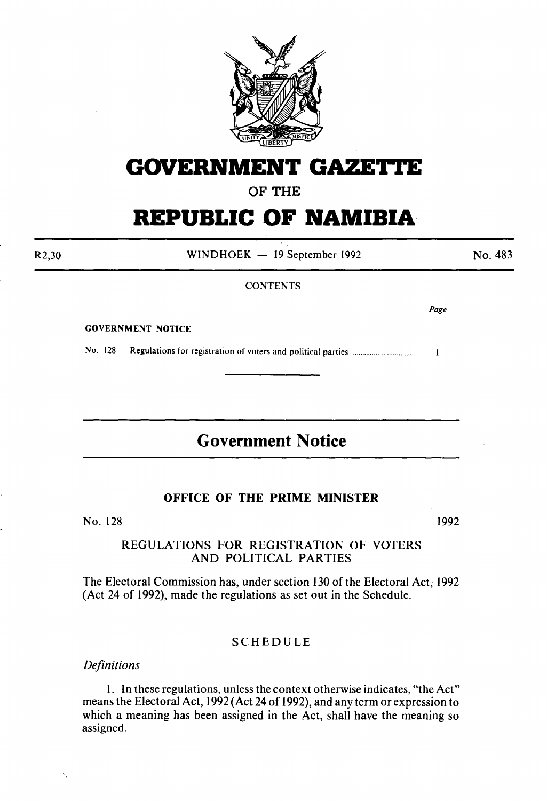

# **GOVERNMENT GAZETI'E**

**OF THE** 

# **REPUBLIC OF NAMIBIA**

R2,30

WINDHOEK - 19 September 1992

No. 483

#### **CONTENTS**

*Page* 

 $\mathbf{I}$ 

GOVERNMENT NOTICE

No. 128 Regulations for registration of voters and political parties ................................ .

# **Government Notice**

# **OFFICE OF THE PRIME MINISTER**

No. 128

1992

# REGULATIONS FOR REGISTRATION OF VOTERS AND POLITICAL PARTIES

The Electoral Commission has, under section 130 of the Electoral Act, 1992 (Act 24 of 1992), made the regulations as set out in the Schedule.

# SCHEDULE

*Definitions* 

I. In these regulations, unless the context otherwise indicates, "the Act" means the Electoral Act, 1992 (Act 24 of 1992), and any term or expression to which a meaning has been assigned in the Act, shall have the meaning so assigned.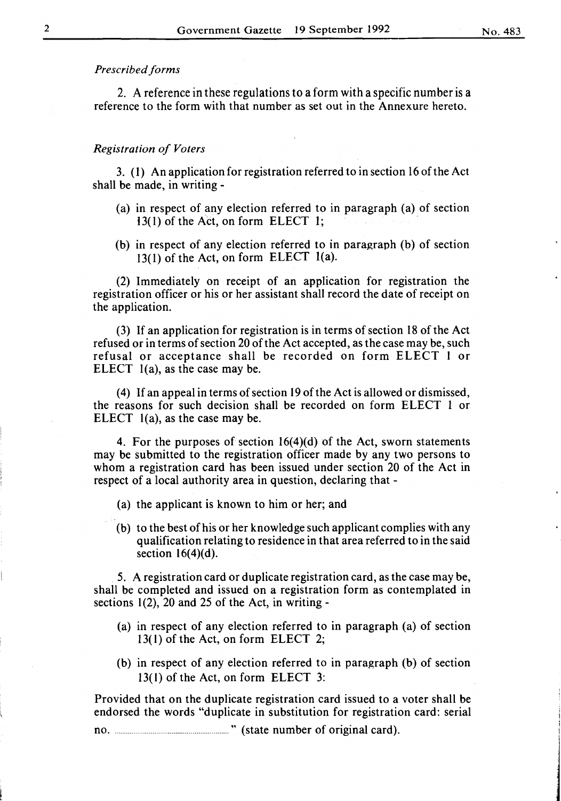## *Prescribed forms*

2. A reference in these regulations to a form with a specific number is a reference to the form with that number as set out in the Annexure hereto.

#### *Registration of Voters*

3. (I) An application for registration referred to in section 16 of the Act shall be made, in writing-

- (a) in respect of any election referred to in paragraph (a) of section  $13(1)$  of the Act, on form ELECT 1;
- (b) in respect of any election referred to in paragraph (b) of section 13(1) of the Act, on form ELECT l(a).

(2) Immediately on receipt of an application for registration the registration officer or his or her assistant shall record the date of receipt on the application.

(3) If an application for registration is in terms of section 18 of the Act refused or in terms of section 20 of the Act accepted, as the case may be, such refusal or acceptance shall be recorded on form ELECT 1 or ELECT l(a), as the case may be.

( 4) If an appeal in terms of section 19 of the Act is allowed or dismissed, the reasons for such decision shall be recorded on form ELECT 1 or ELECT l(a), as the case may be.

4. For the purposes of section 16(4)(d) of the Act, sworn statements may be submitted to the registration officer made by any two persons to whom a registration card has been issued under section 20 of the Act in respect of a local authority area in question, declaring that -

(a) the applicant is known to him or her; and

(b) to the best of his or her knowledge such applicant complies with any qualification relating to residence in that area referred to in the said section  $16(4)(d)$ .

5. A registration card or duplicate registration card, as the case may be, shall be completed and issued on a registration form as contemplated in sections  $1(2)$ , 20 and 25 of the Act, in writing -

- (a) in respect of any election referred to in paragraph (a) of section 13(1) of the Act, on form ELECT 2;
- (b) in respect of any election referred to in paragraph (b) of section 13(1) of the Act, on form ELECT 3:

Provided that on the duplicate registration card issued to a voter shall be endorsed the words "duplicate in substitution for registration card: serial

no ............................................................. " (state number of original card).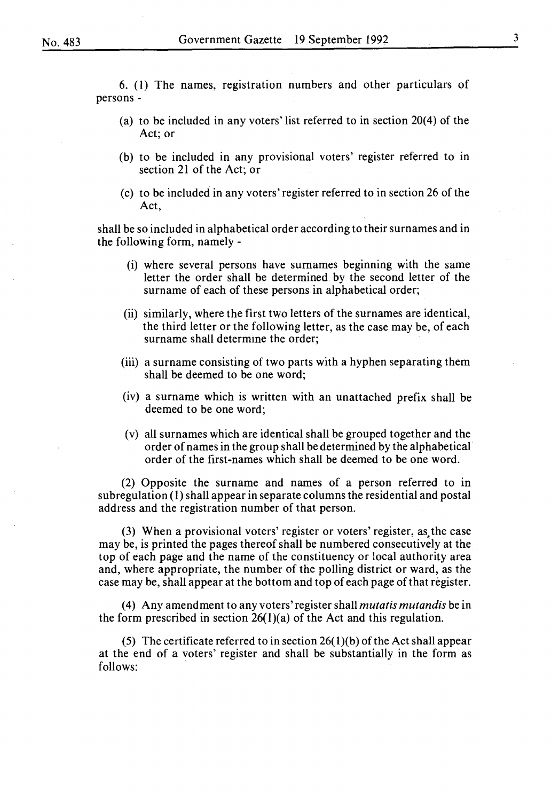6. (1) The names, registration numbers and other particulars of persons-

- (a) to be included in any voters' list referred to in section 20(4) of the Act; or
- (b) to be included in any provisional voters' register referred to in section 21 of the Act; or
- (c) to be included in any voters' register referred to in section 26 of the Act,

shall be so included in alphabetical order according to their surnames and in the following form, namely -

- (i) where several persons have surnames beginning with the same letter the order shall be determined by the second letter of the surname of each of these persons in alphabetical order;
- (ii) similarly, where the first two letters of the surnames are identical, the third letter or the following letter, as the case may be, of each surname shall determine the order;
- (iii) a surname consisting of two parts with a hyphen separating them shall be deemed to be one word;
- (iv) a surname which is written with an unattached prefix shall be deemed to be one word;
- (v) all surnames which are identical shall be grouped together and the order of names in the group shall be determined by the alphabetical· order of the first-names which shall be deemed to be one word.

(2) Opposite the surname and names of a person referred to in subregulation (1) shall appear in separate columns the residential and postal address and the registration number of that person.

(3) When a provisional voters' register or voters' register, as,the case may be, is printed the pages thereof shall be numbered consecutively at the top of each page and the name of the constituency or local authority area and, where appropriate, the number of the polling district or ward, as the case may be, shall appear at the bottom and top of each page oft hat register.

( 4) Any amendment to any voters' register shall *mutatis mutandis* be in the form prescribed in section  $26(1)(a)$  of the Act and this regulation.

(5) The certificate referred to in section  $26(1)(b)$  of the Act shall appear at the end of a voters' register and shall be substantially in the form as follows: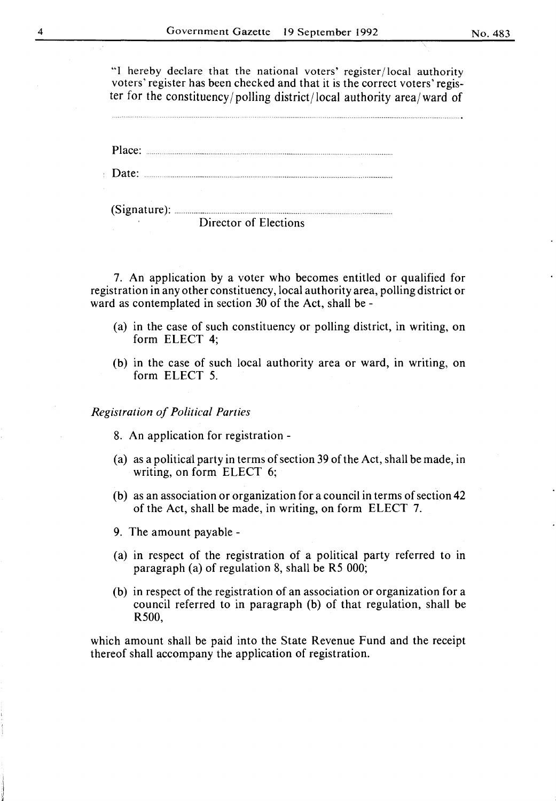"I hereby declare that the national voters' register /local authority voters' register has been checked and that it is the correct voters' register for the constituency/polling district/local authority area/ward of

Place: ....... . ............. .

Date:

| Director of Elections |
|-----------------------|

7. An application by a voter who becomes entitled or qualified for registration in any other constituency, local authority area, polling district or ward as contemplated in section 30 of the Act, shall be-

- (a) in the case of such constituency or polling district, in writing, on form ELECT 4;
- (b) in the case of such local authority area or ward, in writing, on form ELECT 5.

*Registration of Political Parties* 

- 8. An application for registration -
- (a) as a political party in terms of section 39 of the Act, shall be made, in writing, on form ELECT 6;
- (b) as an association or organization for a council in terms of section 42 of the Act, shall be made, in writing, on form ELECT 7.
- 9. The amount payable-
- (a) in respect of the registration of a political party referred to in paragraph (a) of regulation 8, shall be R5 000;
- (b) in respect of the registration of an association or organization for a council referred to in paragraph (b) of that regulation, shall be R500,

which amount shall be paid into the State Revenue Fund and the receipt thereof shall accompany the application of registration.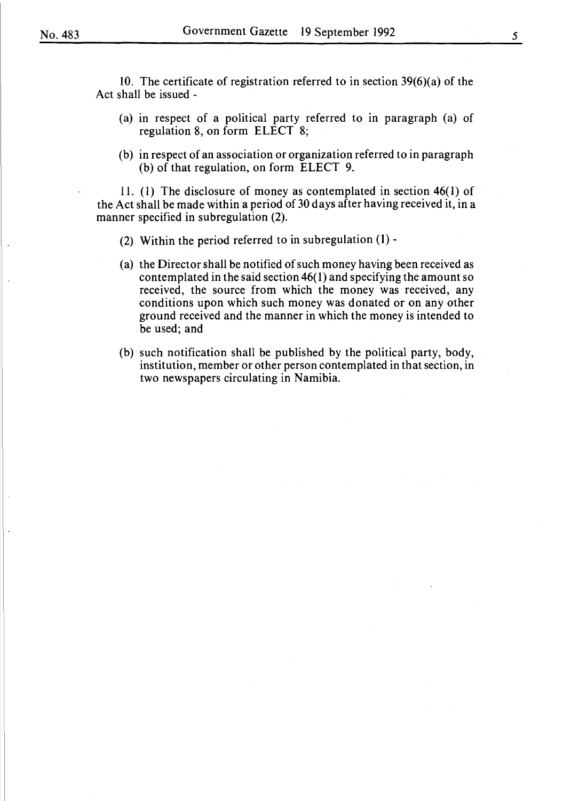10. The certificate of registration referred to in section 39(6)(a) of the Act shall be issued -

- (a) in respect of a political party referred to in paragraph (a) of regulation 8, on form ELECT 8;
- (b) in respect of an association or organization referred to in paragraph (b) of that regulation, on form ELECT 9.

11. (I) The disclosure of money as contemplated in section 46( I) of the Act shall be made within a period of 30 days after having received it, in a manner specified in subregulation (2).

- (2) Within the period referred to in subregulation (1) -
- (a) the Director shall be notified of such money having been received as contemplated in the said section 46( 1) and specifying the amount so received, the source from which the money was received, any conditions upon which such money was donated or on any other ground received and the manner in which the money is intended to be used; and
- (b) such notification shall be published by the political party, body, institution, member or other person contemplated in that section, in two newspapers circulating in Namibia.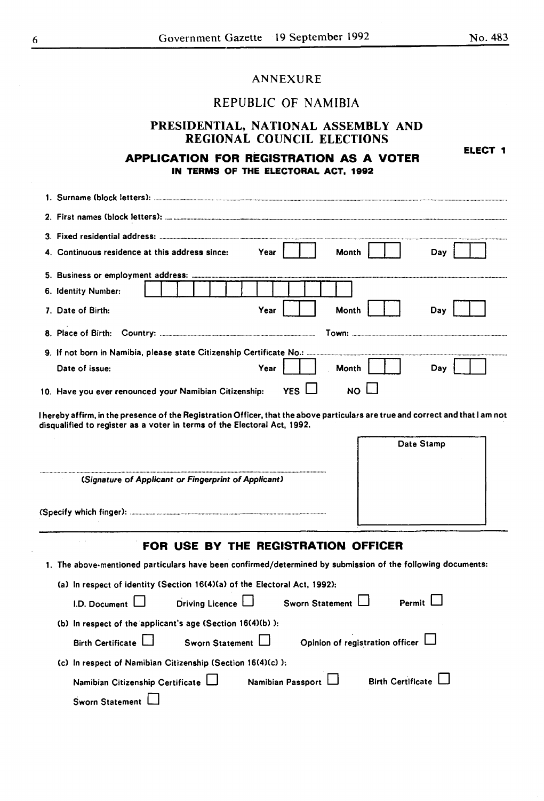**ELECT 1** 

## ANNEXURE

# REPUBLIC OF NAMIBIA

# PRESIDENTIAL, NATIONAL ASSEMBLY AND REGIONAL COUNCIL ELECTIONS

## **APPLICATION FOR REGISTRATION AS A VOTER IN TERMS OF THE ELECTORAL ACT, 1992**

| Surname (block letters):                                                                                    |  |  |  |
|-------------------------------------------------------------------------------------------------------------|--|--|--|
|                                                                                                             |  |  |  |
|                                                                                                             |  |  |  |
| 4. Continuous residence at this address since:<br>Year<br><b>Month</b><br>Day                               |  |  |  |
|                                                                                                             |  |  |  |
| 6. Identity Number:                                                                                         |  |  |  |
| 7. Date of Birth:<br>Year<br>Month<br>Day                                                                   |  |  |  |
|                                                                                                             |  |  |  |
| 9. If not born in Namibia, please state Citizenship Certificate No.:                                        |  |  |  |
| Year<br>Date of issue:<br>Month<br>Day                                                                      |  |  |  |
| YES <sup>I</sup><br><b>NO</b><br>10. Have you ever renounced your Namibian Citizenship:                     |  |  |  |
| (Signature of Applicant or Fingerprint of Applicant)                                                        |  |  |  |
| FOR USE BY THE REGISTRATION OFFICER                                                                         |  |  |  |
| 1. The above-mentioned particulars have been confirmed/determined by submission of the following documents: |  |  |  |
| (a) In respect of identity (Section 16(4)(a) of the Electoral Act, 1992):                                   |  |  |  |
| Driving Licence L<br>Permit I<br>Sworn Statement  <br>I.D. Document                                         |  |  |  |
| (b) In respect of the applicant's age (Section 16(4)(b) ):                                                  |  |  |  |
| Birth Certificate  <br>Sworn Statement $\Box$<br>Opinion of registration officer L                          |  |  |  |
| (c) In respect of Namibian Citizenship (Section 16(4)(c) ):                                                 |  |  |  |
| Birth Certificate L<br>Namibian Citizenship Certificate<br>Namibian Passport                                |  |  |  |
| <b>Sworn Statement</b>                                                                                      |  |  |  |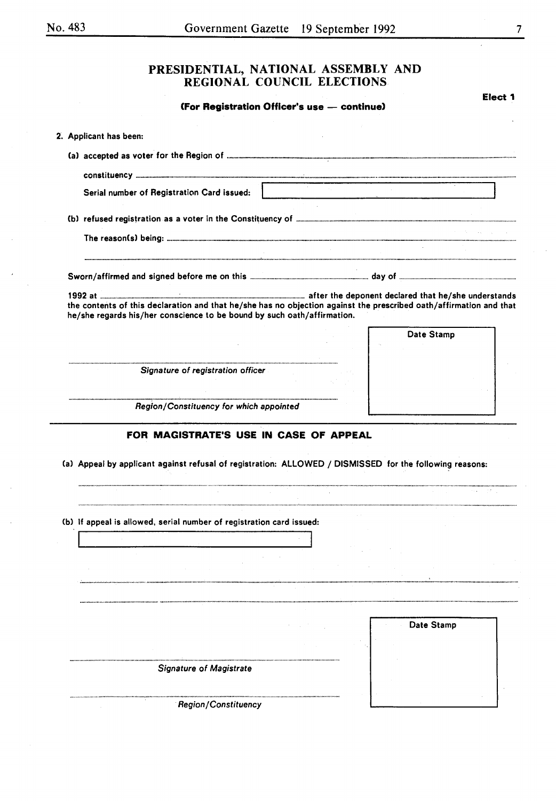#### No. 483

# PRESIDENTIAL, NATIONAL ASSEMBLY AND REGIONAL COUNCIL ELECTIONS

**(for Registration Officer's use - continue)** 

**Elect 1** 

| 2. Applicant has been:                                                                                                                                                                        |                                                                                                                 |
|-----------------------------------------------------------------------------------------------------------------------------------------------------------------------------------------------|-----------------------------------------------------------------------------------------------------------------|
|                                                                                                                                                                                               |                                                                                                                 |
|                                                                                                                                                                                               |                                                                                                                 |
| Serial number of Registration Card issued:                                                                                                                                                    | the contract of the contract of the contract of the contract of the contract of the contract of the contract of |
|                                                                                                                                                                                               |                                                                                                                 |
|                                                                                                                                                                                               |                                                                                                                 |
|                                                                                                                                                                                               |                                                                                                                 |
|                                                                                                                                                                                               |                                                                                                                 |
|                                                                                                                                                                                               |                                                                                                                 |
| the contents of this declaration and that he/she has no objection against the prescribed oath/affirmation and that<br>he/she regards his/her conscience to be bound by such oath/affirmation. |                                                                                                                 |
|                                                                                                                                                                                               | Date Stamp                                                                                                      |
|                                                                                                                                                                                               |                                                                                                                 |
| Signature of registration officer                                                                                                                                                             |                                                                                                                 |
|                                                                                                                                                                                               |                                                                                                                 |
|                                                                                                                                                                                               |                                                                                                                 |
|                                                                                                                                                                                               |                                                                                                                 |
| Region/Constituency for which appointed<br>FOR MAGISTRATE'S USE IN CASE OF APPEAL                                                                                                             |                                                                                                                 |
|                                                                                                                                                                                               |                                                                                                                 |
|                                                                                                                                                                                               |                                                                                                                 |
|                                                                                                                                                                                               |                                                                                                                 |
|                                                                                                                                                                                               |                                                                                                                 |
|                                                                                                                                                                                               |                                                                                                                 |
|                                                                                                                                                                                               |                                                                                                                 |
|                                                                                                                                                                                               |                                                                                                                 |
|                                                                                                                                                                                               | Date Stamp                                                                                                      |
|                                                                                                                                                                                               |                                                                                                                 |
| <b>Signature of Magistrate</b>                                                                                                                                                                |                                                                                                                 |
| (a) Appeal by applicant against refusal of registration: ALLOWED / DISMISSED for the following reasons:<br>(b) If appeal is allowed, serial number of registration card issued:               |                                                                                                                 |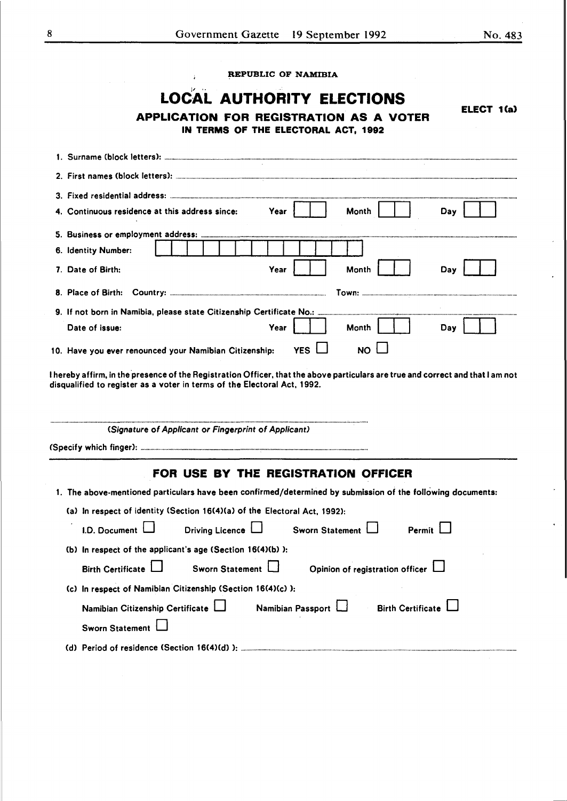**ELECT 1(a)** 

REPUBLIC OF NAMIBIA

à.

# **LOCAL AUTHORITY ELECTIONS**

**APPLICATION FOR REGISTRATION AS A VOTER IN TERMS OF THE ELECTORAL ACT, 1992** 

| 4. Continuous residence at this address since:<br>Year<br>Month<br>Day                                                                                                                                      |
|-------------------------------------------------------------------------------------------------------------------------------------------------------------------------------------------------------------|
|                                                                                                                                                                                                             |
| 6. Identity Number:                                                                                                                                                                                         |
| 7. Date of Birth:<br>Year<br>Month<br>Dav                                                                                                                                                                   |
|                                                                                                                                                                                                             |
| 9. If not born in Namibia, please state Citizenship Certificate No.:                                                                                                                                        |
| Date of issue:<br>Month<br>Year<br>Dav                                                                                                                                                                      |
| YES $\Box$<br>NO.<br>10. Have you ever renounced your Namibian Citizenship:                                                                                                                                 |
| I hereby affirm, in the presence of the Registration Officer, that the above particulars are true and correct and that I am not<br>disqualified to register as a voter in terms of the Electoral Act, 1992. |

| (Signature of Applicant or Fingerprint of Applicant)                                                                                                                              |  |  |  |
|-----------------------------------------------------------------------------------------------------------------------------------------------------------------------------------|--|--|--|
|                                                                                                                                                                                   |  |  |  |
| FOR USE BY THE REGISTRATION OFFICER                                                                                                                                               |  |  |  |
| 1. The above-mentioned particulars have been confirmed/determined by submission of the following documents:                                                                       |  |  |  |
| (a) In respect of identity (Section 16(4)(a) of the Electoral Act. 1992):<br>1.D. Document $\Box$ Driving Licence $\Box$ Sworn Statement $\Box$<br>Permit $\mathsf{\mathsf{L}}$   |  |  |  |
| (b) In respect of the applicant's age (Section $16(4)(b)$ ):<br>$\mathsf{Birth\, Centificate}$ $\Box$ Sworn Statement $\Box$<br>Opinion of registration officer L                 |  |  |  |
| (c) In respect of Namibian Citizenship (Section 16(4)(c) ):<br>Namibian Passport $\Box$ Birth Certificate $\Box$<br>Namibian Citizenship Certificate LJ<br><b>Sworn Statement</b> |  |  |  |
|                                                                                                                                                                                   |  |  |  |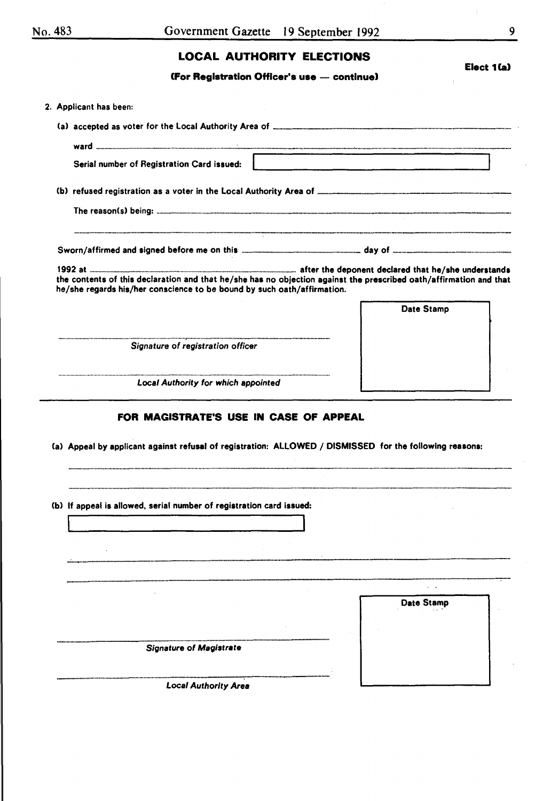# **LOCAL AUTHORITY ELECTIONS**

**(for Registration OHicer's use - continue)** 

| 2. Applicant has been:                                                                                                                                                                        |                   |
|-----------------------------------------------------------------------------------------------------------------------------------------------------------------------------------------------|-------------------|
|                                                                                                                                                                                               |                   |
|                                                                                                                                                                                               |                   |
|                                                                                                                                                                                               |                   |
| Serial number of Registration Card issued:                                                                                                                                                    |                   |
|                                                                                                                                                                                               |                   |
|                                                                                                                                                                                               |                   |
|                                                                                                                                                                                               |                   |
|                                                                                                                                                                                               |                   |
| the contents of this declaration and that he/she has no objection against the prescribed oath/affirmation and that<br>he/she regards his/her conscience to be bound by such oath/affirmation. |                   |
|                                                                                                                                                                                               | Date Stamp        |
|                                                                                                                                                                                               |                   |
| Signature of registration officer                                                                                                                                                             |                   |
|                                                                                                                                                                                               |                   |
|                                                                                                                                                                                               |                   |
| <b>Local Authority for which appointed</b>                                                                                                                                                    |                   |
| (a) Appeal by applicant against refusal of registration: ALLOWED / DISMISSED for the following reasons:                                                                                       |                   |
| (b) If appeal is allowed, serial number of registration card issued:                                                                                                                          |                   |
|                                                                                                                                                                                               |                   |
|                                                                                                                                                                                               |                   |
|                                                                                                                                                                                               |                   |
|                                                                                                                                                                                               |                   |
|                                                                                                                                                                                               | <b>Date Stamp</b> |
|                                                                                                                                                                                               |                   |
|                                                                                                                                                                                               |                   |
| <b>Signature of Magistrate</b>                                                                                                                                                                |                   |
|                                                                                                                                                                                               |                   |
|                                                                                                                                                                                               |                   |
| <b>Local Authority Area</b>                                                                                                                                                                   |                   |

**Elect 1(a)**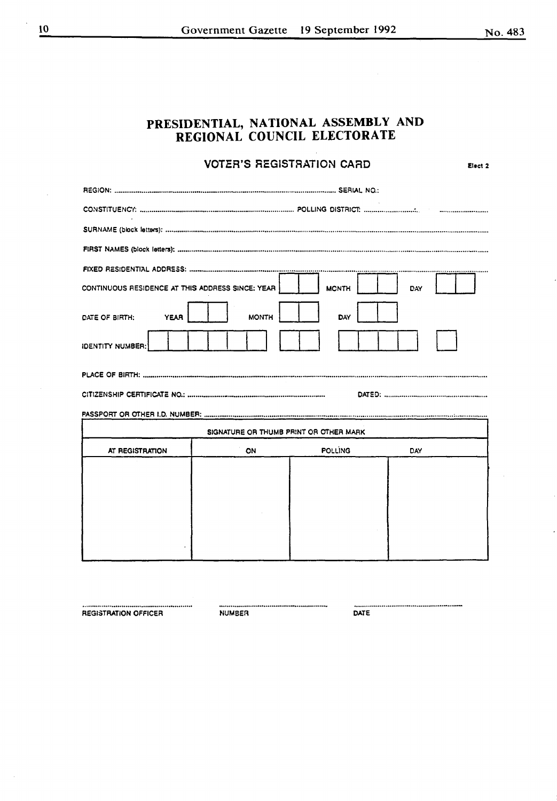|                                                  |              | <b>VOTER'S REGISTRATION CARD</b>       |     | Elect <sub>2</sub> |
|--------------------------------------------------|--------------|----------------------------------------|-----|--------------------|
|                                                  |              |                                        |     |                    |
|                                                  |              |                                        |     |                    |
|                                                  |              |                                        |     |                    |
|                                                  |              |                                        |     |                    |
|                                                  |              |                                        |     |                    |
| CONTINUOUS RESIDENCE AT THIS ADDRESS SINCE: YEAR |              | <b>MONTH</b>                           | DAY |                    |
| <b>YEAR</b><br>DATE OF BIRTH:                    | <b>MONTH</b> | DAY                                    |     |                    |
| <b>IDENTITY NUMBER:</b>                          |              |                                        |     |                    |
|                                                  |              |                                        |     |                    |
|                                                  |              |                                        |     |                    |
|                                                  |              |                                        |     |                    |
|                                                  |              | SIGNATURE OR THUMB PRINT OR OTHER MARK |     |                    |
| AT REGISTRATION                                  | ON           | <b>POLLING</b>                         | DAY |                    |
|                                                  |              |                                        |     |                    |
|                                                  |              |                                        |     |                    |
|                                                  |              |                                        |     |                    |
|                                                  |              |                                        |     |                    |
|                                                  |              |                                        |     |                    |

**REGISTRATION OFFICER** 

NUMBER

DATE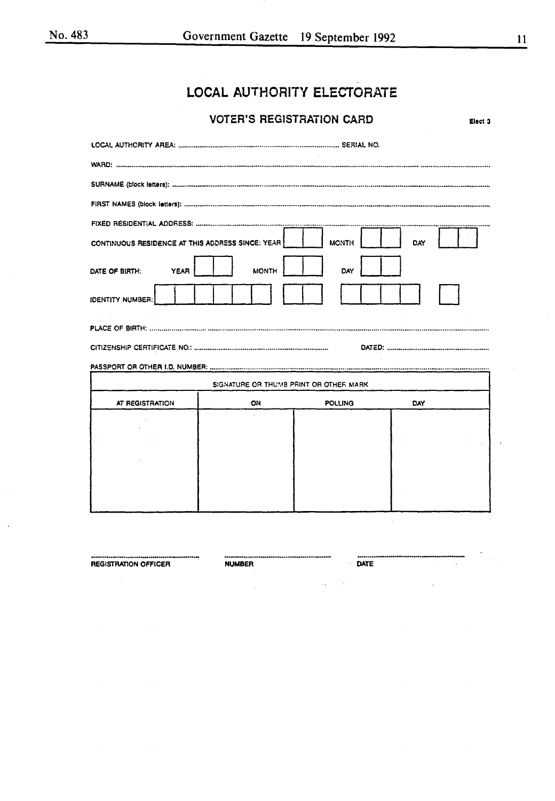# LOCAL AUTHORITY ELECTORATE

# **VOTER'S REGISTRATION CARD**

Elect 3

| CONTINUOUS RESIDENCE AT THIS ADDRESS SINCE: YEAR |                                        | <b>MONTH</b>   | DAY        |
|--------------------------------------------------|----------------------------------------|----------------|------------|
| DATE OF BIRTH:<br>YEAR                           | <b>MONTH</b>                           | DAY            |            |
| <b>IDENTITY NUMBER:</b>                          |                                        |                |            |
|                                                  |                                        |                |            |
|                                                  |                                        |                |            |
|                                                  | SIGNATURE OR THUMB PRINT OR OTHER MARK |                |            |
| AT REGISTRATION                                  | ON                                     | <b>POLLING</b> | <b>DAY</b> |
|                                                  |                                        |                |            |
|                                                  |                                        |                |            |
|                                                  |                                        |                |            |
|                                                  |                                        |                |            |
|                                                  |                                        |                |            |

**REGISTRATION OFFICER** 

**NUMBER** 

DATE

 $\ddot{\phantom{1}}$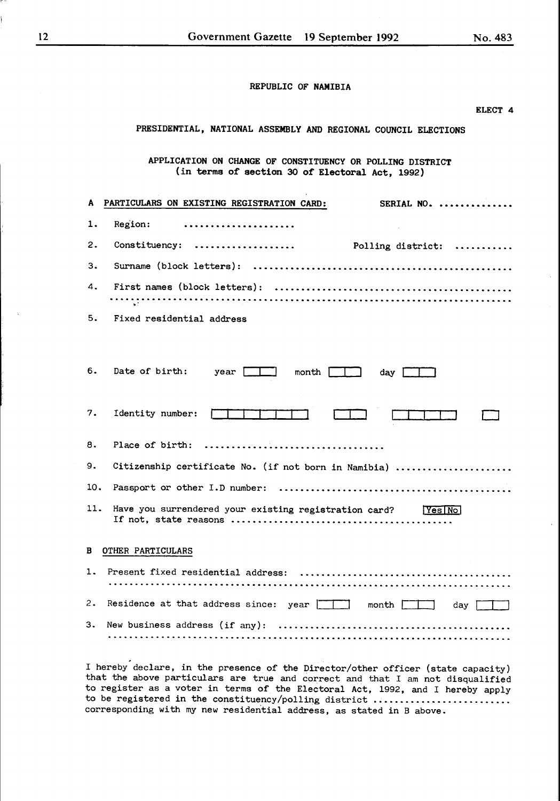|     | ELECT 4                                                                                                      |
|-----|--------------------------------------------------------------------------------------------------------------|
|     | PRESIDENTIAL, NATIONAL ASSEMBLY AND REGIONAL COUNCIL ELECTIONS                                               |
|     | APPLICATION ON CHANGE OF CONSTITUENCY OR POLLING DISTRICT<br>(in terms of section 30 of Electoral Act, 1992) |
|     | SERIAL NO.<br>A PARTICULARS ON EXISTING REGISTRATION CARD:                                                   |
| 1.  | Region:                                                                                                      |
| 2.  |                                                                                                              |
| з.  |                                                                                                              |
| 4.  |                                                                                                              |
| 5.  | Fixed residential address                                                                                    |
|     |                                                                                                              |
| 6.  | Date of birth: year $\boxed{\phantom{a}}$ month $\boxed{\phantom{a}}$ day $\boxed{\phantom{a}}$              |
| 7.  | Identity number:                                                                                             |
| 8.  | Place of birth:                                                                                              |
| 9.  | Citizenship certificate No. (if not born in Namibia)                                                         |
| 10. |                                                                                                              |
| 11. |                                                                                                              |
| в   | OTHER PARTICULARS                                                                                            |
| 1.  | Present fixed residential address:                                                                           |
| 2.  | Residence at that address since: year<br>month $\square$<br>day                                              |
| 3.  | New business address (if any):                                                                               |

I hereby declare, in the presence of the Director/other officer (state capacity) that the above particulars are true and correct and that I am not disqualified to register as a voter in terms of the Electoral Act, 1992, and I hereby apply to be registered in the constituency/polling district .......................... corresponding with my new residential address, as stated in B above.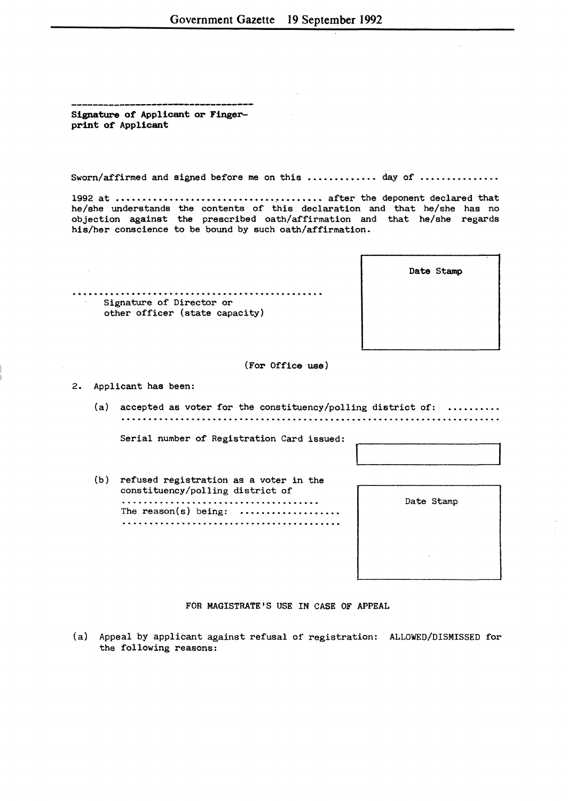Signature of Applicant or Fingerprint of Applicant

Sworn/affirmed and signed before me on this ............. day of ...............

1992 at ······························~········ after the deponent declared that he/she understands the contents of this declaration and that he/she has no objection against the prescribed oath/affirmation and that he/she regards his/her conscience to be bound by such oath/affirmation.

| Signature of Director or       |
|--------------------------------|
| other officer (state capacity) |

Date Stamp

(For Office use)

2. Applicant has been:

(a) accepted as voter for the constituency/polling district of: 

Serial number of Registration Card issued:

(b) refused registration as a voter in the constituency/polling district of The reason(s) being: 

Date Stamp

FOR MAGISTRATE'S USE IN CASE OF APPEAL

{a) Appeal by applicant against refusal of registration: ALLOWED/DISMISSED for the following reasons: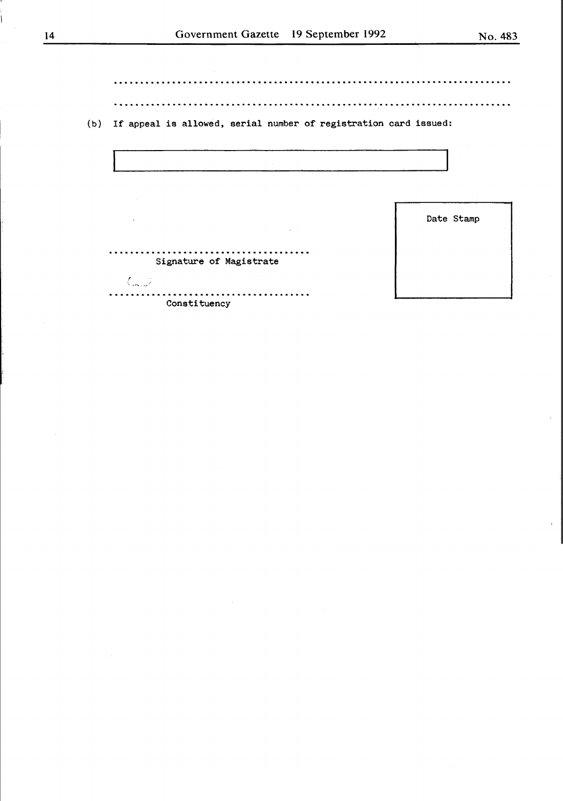(b) If appeal is allowed, serial number of registration card issued:



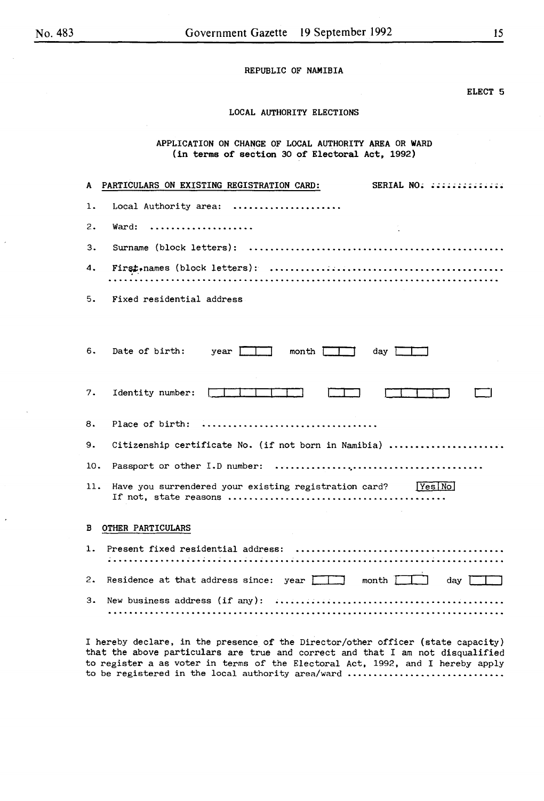#### ELECT 5

#### LOCAL AUTHORITY ELECTIONS

APPLICATION ON CHANGE OF LOCAL AUTHORITY AREA OR WARD (in terms of section 30 of Electoral Act, 1992)

| A   | SERIAL NO: ::::::::::::::<br>PARTICULARS ON EXISTING REGISTRATION CARD: |
|-----|-------------------------------------------------------------------------|
| 1.  | Local Authority area:                                                   |
| 2.  | Ward:                                                                   |
| 3.  |                                                                         |
| 4.  |                                                                         |
| 5.  | Fixed residential address.                                              |
|     |                                                                         |
| 6.  | Date of birth:<br>$month \frown \frown$<br>year I<br>day                |
| 7.  | Identity number:                                                        |
| 8.  | Place of birth:                                                         |
| 9.  | Citizenship certificate No. (if not born in Namibia)                    |
| 10. |                                                                         |
| 11. | Have you surrendered your existing registration card? [Yes[No]          |
| в   | <b>OTHER PARTICULARS</b>                                                |
| 1.  | Present fixed residential address:                                      |

3. New business address (if any): 

2. Residence at that address since:  $year$  month  $~1$  day  $~1$ 

I hereby declare, in the presence of the Director/other officer (state capacity) that the above particulars are true and correct and that I am not disqualified to register a as voter in terms of the Electoral Act, 1992, and I hereby apply to be registered in the local authority area/ward .............................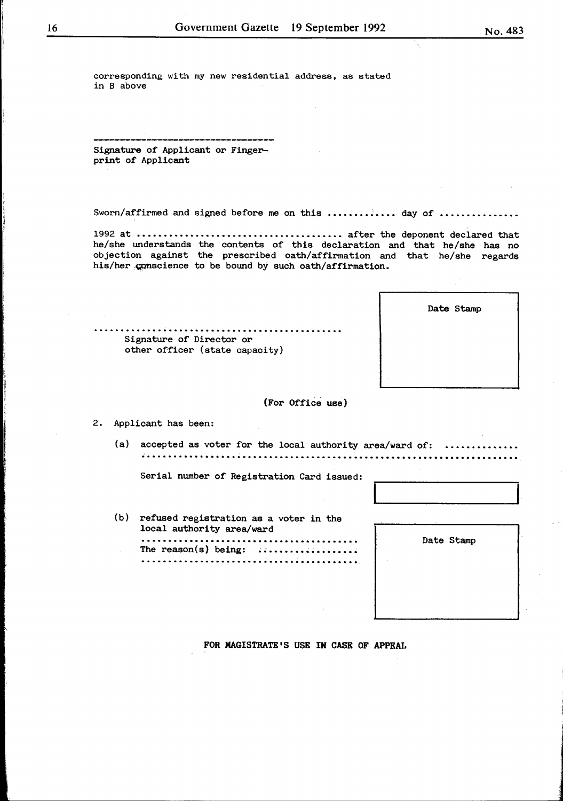corresponding with my new residential address, as stated in B above

Signature of Applicant or Fingerprint of Applicant

Sworn/affirmed and signed before me on this ............. day of ..............

1992 at  $\dots\dots\dots\dots\dots\dots\dots\dots\dots\dots\dots\dots$  after the deponent declared that he/she understands the contents of this declaration and that he/she has no objection against the prescribed oath/affirmation and that he/she regards his/her conscience to be bound by such oath/affirmation.

| Date Stamp |
|------------|
|            |
|            |
|            |

#### (For Office use)

2. Applicant has been:

(a) accepted as voter for the local authority area/ward of: .....................

Serial number of Registration Card issued:

............................................... Signature of Director or

other officer (state capacity)

(b) refused registration as a voter in the local authority area/ward .......................................... The reason(s) being: ......................................... -

Date Stamp

FOR MAGISTRATE'S USE IN CASE OF APPEAL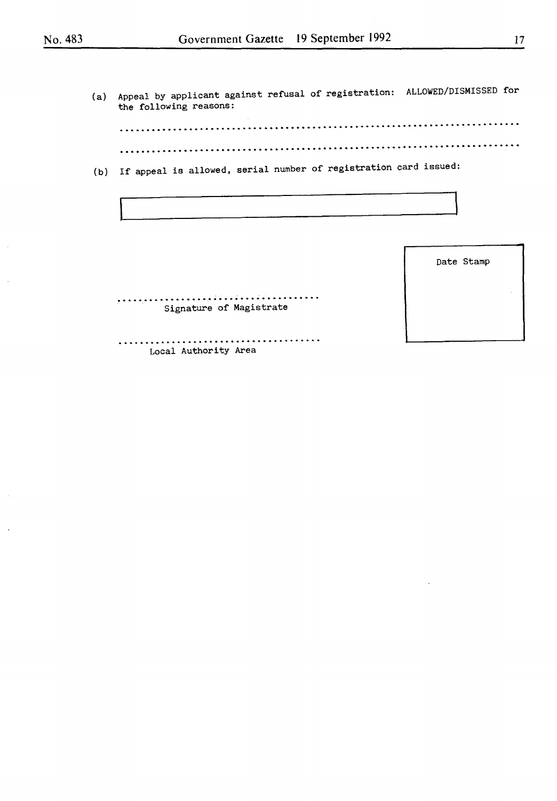(a) Appeal by applicant against refusal of registration: ALLOWED/DISMISSED for the following reasons:

........................................................................... . . . . . . . . . . . . . . . . . . . . . . . . . . . . . . . . . . . . . . . . . . . . . . . . . . . . . . . . . . . . . . . . . . . . . . . . . . .

(b) If appeal is allowed, serial number of registration card issued:

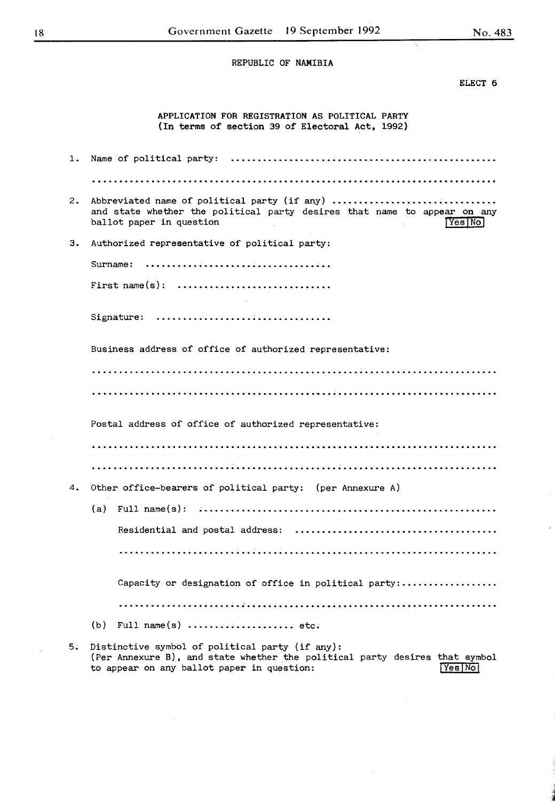ELECT 6

APPLICATION FOR REGISTRATION AS POLITICAL PARTY (In terms of section 39 of Electoral Act, 1992)

| 1. |                                                                                                                                                                |
|----|----------------------------------------------------------------------------------------------------------------------------------------------------------------|
|    |                                                                                                                                                                |
| 2. | Abbreviated name of political party (if any)<br>and state whether the political party desires that name to appear on any<br>ballot paper in question<br>Yes No |
| з. | Authorized representative of political party:                                                                                                                  |
|    | Surname:                                                                                                                                                       |
|    |                                                                                                                                                                |
|    | Signature: $\ldots \ldots \ldots \ldots \ldots \ldots \ldots \ldots \ldots \ldots$                                                                             |
|    | Business address of office of authorized representative:                                                                                                       |
|    |                                                                                                                                                                |
|    |                                                                                                                                                                |
|    | Postal address of office of authorized representative:                                                                                                         |
|    |                                                                                                                                                                |
|    |                                                                                                                                                                |
| 4. | Other office-bearers of political party: (per Annexure A)                                                                                                      |
|    | (a)                                                                                                                                                            |
|    |                                                                                                                                                                |
|    |                                                                                                                                                                |
|    | Capacity or designation of office in political party:                                                                                                          |
|    |                                                                                                                                                                |
|    | (b)<br>Full name(s) $\dots\dots\dots\dots\dots\dots$ etc.                                                                                                      |
| 5. | Distinctive symbol of political party (if any):                                                                                                                |

(Per Annexure B), and state whether the political party desires that symbol to appear on any ballot paper in question:  $\frac{Yes|Noj}{|Yes|Noj}$ to appear on any ballot paper in question: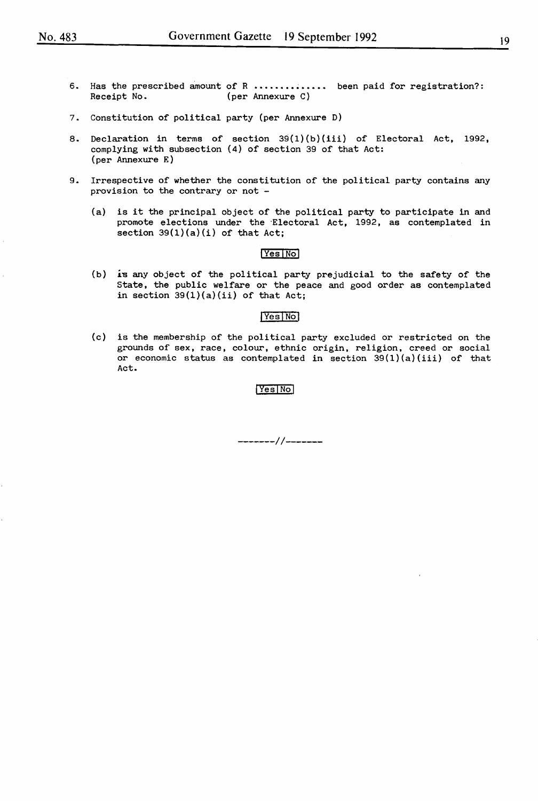- 6. Has the prescribed amount of R •••••••••••••• been paid for registration?: (per Annexure C)
- 7. Constitution of political party (per Annexure D)
- 8. Declaration in terms of section 39(1)(b)(iii) of Electoral Act, 1992, complying with subsection (4) of section 39 of that Act: (per Annexure E)
- 9. Irrespective of whether the constitution of the political party contains any provision to the contrary or not -
	- (a) is it the principal object of the political party to participate in and promote elections under the ·Electoral Act, 1992, as contemplated in section  $39(1)(a)(i)$  of that Act;

#### IYesiNol

(b) is any object of the political party prejudicial to the safety of the State, the public welfare or the peace and good order as contemplated in section  $39(1)(a)(ii)$  of that Act;

#### Yes No

(c) is the membership of the political party excluded or restricted on the grounds of sex, race, colour, ethnic origin, religion, creed or social or economic status as contemplated in section  $39(1)(a)(iii)$  of that Act.

#### Yes<sup>No</sup>

*-------11-------*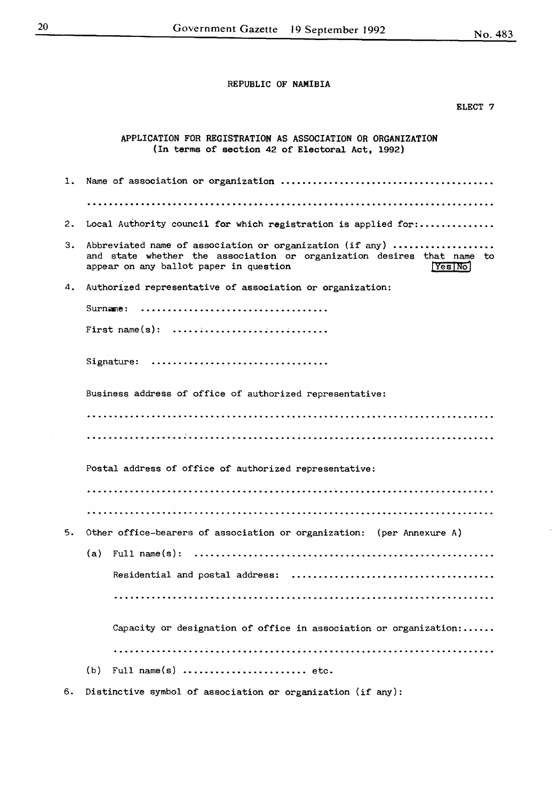#### ELECT 7

|    | APPLICATION FOR REGISTRATION AS ASSOCIATION OR ORGANIZATION<br>(In terms of section 42 of Electoral Act, 1992)                                                                         |  |
|----|----------------------------------------------------------------------------------------------------------------------------------------------------------------------------------------|--|
| 1. |                                                                                                                                                                                        |  |
|    |                                                                                                                                                                                        |  |
| 2. | Local Authority council for which registration is applied for:                                                                                                                         |  |
| з. | Abbreviated name of association or organization (if any)<br>and state whether the association or organization desires that name to<br>appear on any ballot paper in question<br>Yes No |  |
| 4. | Authorized representative of association or organization:                                                                                                                              |  |
|    | Surname:                                                                                                                                                                               |  |
|    | First name(s): $\dots\dots\dots\dots\dots\dots\dots\dots\dots\dots$                                                                                                                    |  |
|    | Signature:                                                                                                                                                                             |  |
|    | Business address of office of authorized representative:                                                                                                                               |  |
|    |                                                                                                                                                                                        |  |
|    |                                                                                                                                                                                        |  |
|    | Postal address of office of authorized representative:                                                                                                                                 |  |
|    |                                                                                                                                                                                        |  |
|    |                                                                                                                                                                                        |  |
| 5. | Other office-bearers of association or organization: (per Annexure A)                                                                                                                  |  |
|    |                                                                                                                                                                                        |  |
|    | Residential and postal address:                                                                                                                                                        |  |
|    |                                                                                                                                                                                        |  |
|    | Capacity or designation of office in association or organization:                                                                                                                      |  |
|    |                                                                                                                                                                                        |  |
|    | Full name(s)  etc.<br>(b)                                                                                                                                                              |  |

6. Distinctive symbol of association or organization (if any):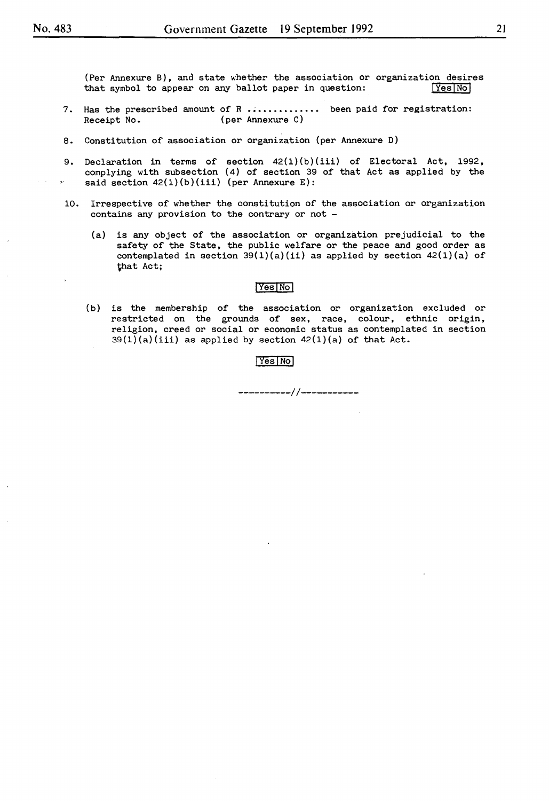(Per Annexure B), and state whether the association or organization desires that symbol to appear on any ballot paper in question:  $\sqrt{Y}$ es $\overline{N}$ ol that symbol to appear on any ballot paper in question:

- 7. Has the prescribed amount of R  $\ldots$   $\ldots$  been paid for registration:<br>Receipt No. (per Annexure C) (per Annexure C)
- 8. Constitution of association or organization (per Annexure D)
- 9. Declaration in terms of section  $42(1)(b)(iii)$  of Electoral Act, 1992, complying with subsection ( 4) of section 39 of that Act as applied by the said section  $42(1)(b)(iii)$  (per Annexure E):
- 10. Irrespective of whether the constitution of the association or organization contains any provision to the contrary or not -
	- (a) is any object of the association or organization prejudicial to the safety of the State, the public welfare or the peace and good order as contemplated in section  $39(1)(a)(ii)$  as applied by section  $42(1)(a)$  of 'that Act;

#### IVesiNol

(b) is the membership of the association or organization excluded or restricted on the grounds of sex, race, colour, ethnic origin, religion, creed or social or economic status as contemplated in section  $39(1)(a)(iii)$  as applied by section  $42(1)(a)$  of that Act.

#### IYesiNol

*----------/1-----------*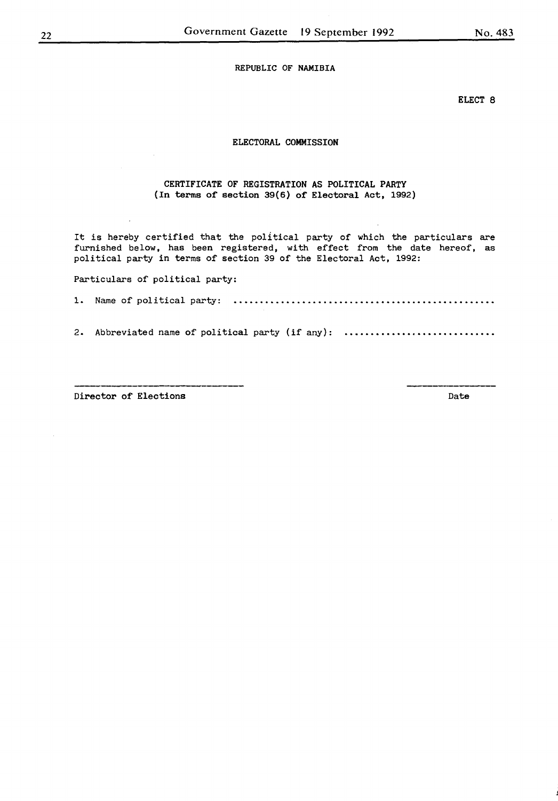ELECT 8

#### ELECTORAL COMMISSION

#### CERTIFICATE OF REGISTRATION AS POLITICAL PARTY (In terms of section 39(6) of Electoral Act, 1992)

It is hereby certified that the political party of which the particulars are furnished below, has been registered, with effect from the date hereof, as political party in terms of section 39 of the Electoral Act, 1992:

Particulars of political party:

1. Name of political party:

2. Abbreviated name of political party (if any):

Director of Elections **Date**